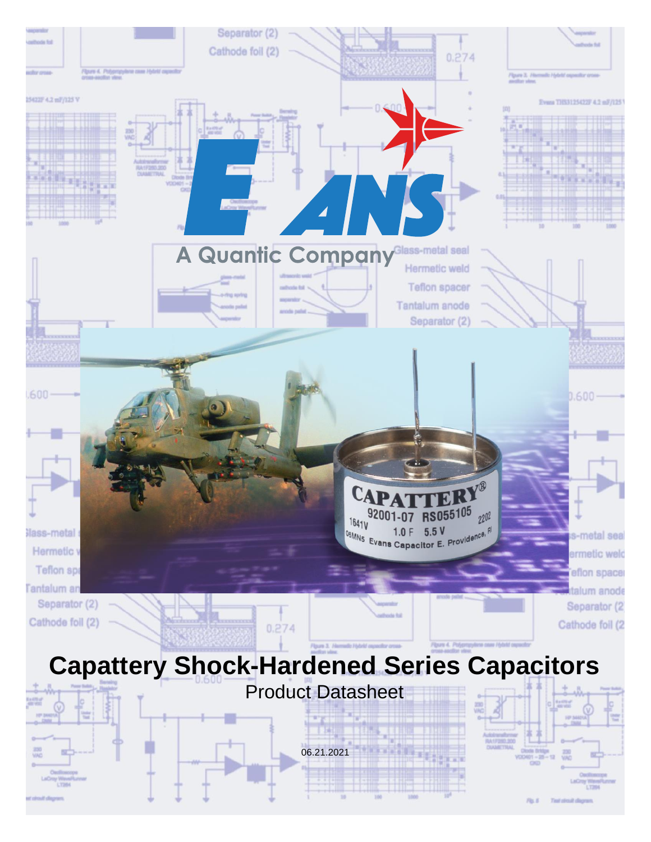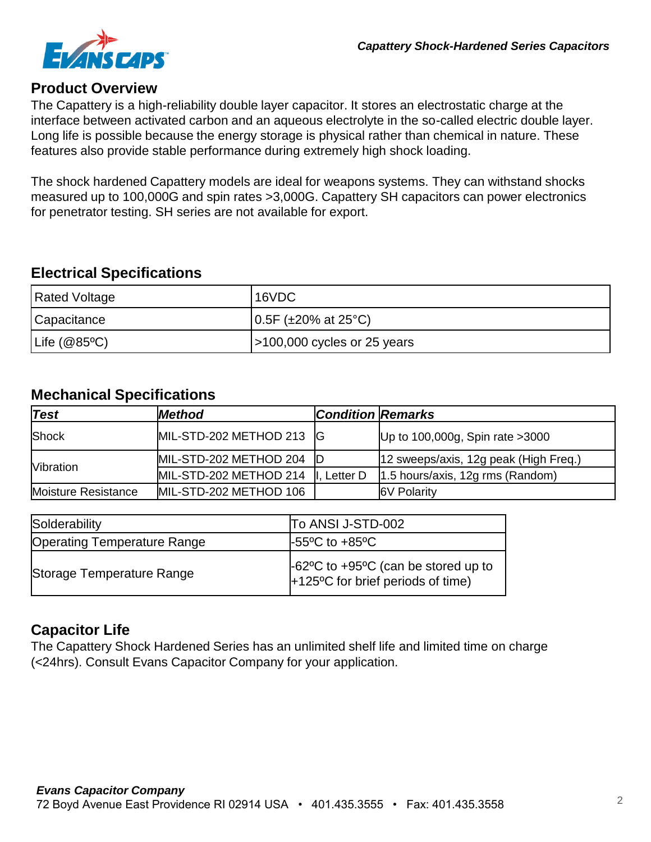

#### **Product Overview**

The Capattery is a high-reliability double layer capacitor. It stores an electrostatic charge at the interface between activated carbon and an aqueous electrolyte in the so-called electric double layer. Long life is possible because the energy storage is physical rather than chemical in nature. These features also provide stable performance during extremely high shock loading.

The shock hardened Capattery models are ideal for weapons systems. They can withstand shocks measured up to 100,000G and spin rates >3,000G. Capattery SH capacitors can power electronics for penetrator testing. SH series are not available for export.

#### **Electrical Specifications**

| Rated Voltage        | 16VDC                                    |
|----------------------|------------------------------------------|
| Capacitance          | $(0.5F \, (+20\% \, at \, 25\degree C))$ |
| $\vert$ Life (@85°C) | $ $ > 100,000 cycles or 25 years         |

#### **Mechanical Specifications**

| <b>Test</b>         | <b>Method</b>             | <b>Condition Remarks</b> |                                       |
|---------------------|---------------------------|--------------------------|---------------------------------------|
| Shock               | MIL-STD-202 METHOD 213 G  |                          | Up to 100,000g, Spin rate $>3000$     |
| <b>Nibration</b>    | MIL-STD-202 METHOD 204  D |                          | 12 sweeps/axis, 12g peak (High Freq.) |
|                     | MIL-STD-202 METHOD 214    | II. Letter D             | $1.5$ hours/axis, 12g rms (Random)    |
| Moisture Resistance | MIL-STD-202 METHOD 106    |                          | <b>6V Polarity</b>                    |

| Solderability                      | To ANSI J-STD-002                                                        |
|------------------------------------|--------------------------------------------------------------------------|
| <b>Operating Temperature Range</b> | $\text{F55}^{\circ}\text{C}$ to $\text{F85}^{\circ}\text{C}$             |
| Storage Temperature Range          | -62°C to +95°C (can be stored up to<br>+125°C for brief periods of time) |

### **Capacitor Life**

The Capattery Shock Hardened Series has an unlimited shelf life and limited time on charge (<24hrs). Consult Evans Capacitor Company for your application.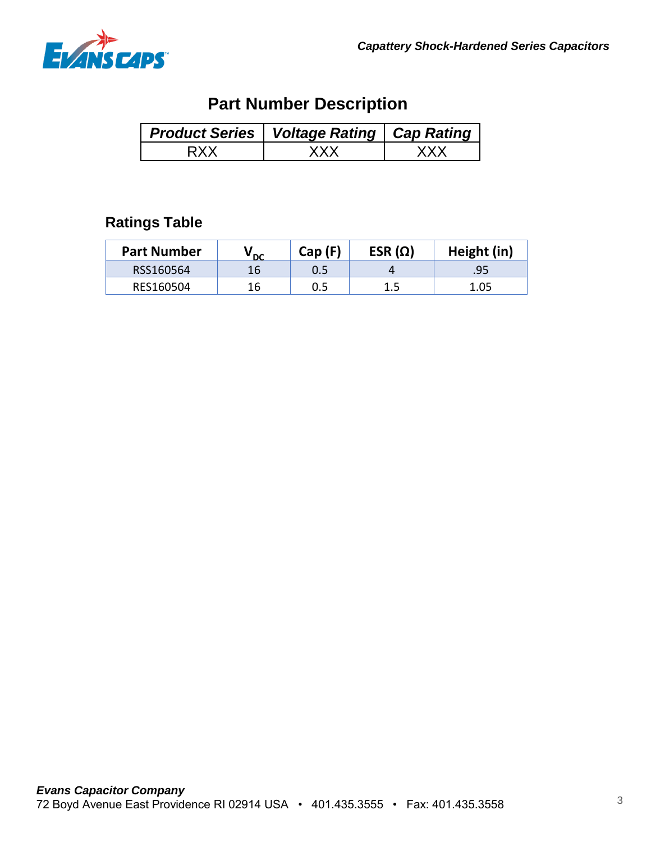

# **Part Number Description**

| <b>Product Series   Voltage Rating   Cap Rating</b> |  |
|-----------------------------------------------------|--|
| / V V                                               |  |

## **Ratings Table**

| <b>Part Number</b> | ' DC | Cap(F) | ESR $(\Omega)$ | Height (in) |
|--------------------|------|--------|----------------|-------------|
| RSS160564          | 16   | 0.5    |                | .95         |
| RES160504          | 16   |        |                | 1.05        |